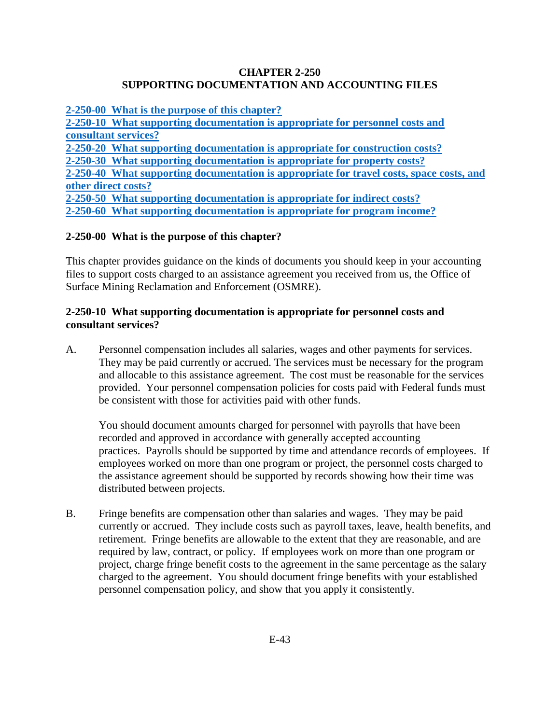#### **CHAPTER 2-250 SUPPORTING DOCUMENTATION AND ACCOUNTING FILES**

**2-250-00 What [is the purpose of this chapter?](#page-0-0) [2-250-10 What supporting documentation is appropriate for personnel costs and](#page-0-1) [consultant services?](#page-0-1)  [2-250-20 What supporting documentation is appropriate for construction costs?](#page-1-0) [2-250-30 What supporting documentation is appropriate for property costs?](#page-1-1) [2-250-40 What supporting documentation is appropriate for travel costs, space](#page-2-0) costs, and [other direct costs?](#page-2-0) [2-250-50 What supporting documentation is appropriate for indirect costs?](#page-2-1) [2-250-60 What supporting documentation is appropriate for program income?](#page-3-0)**

# <span id="page-0-0"></span>**2-250-00 What is the purpose of this chapter?**

This chapter provides guidance on the kinds of documents you should keep in your accounting files to support costs charged to an assistance agreement you received from us, the Office of Surface Mining Reclamation and Enforcement (OSMRE).

#### <span id="page-0-1"></span>**2-250-10 What supporting documentation is appropriate for personnel costs and consultant services?**

A. Personnel compensation includes all salaries, wages and other payments for services. They may be paid currently or accrued. The services must be necessary for the program and allocable to this assistance agreement. The cost must be reasonable for the services provided. Your personnel compensation policies for costs paid with Federal funds must be consistent with those for activities paid with other funds.

You should document amounts charged for personnel with payrolls that have been recorded and approved in accordance with generally accepted accounting practices. Payrolls should be supported by time and attendance records of employees. If employees worked on more than one program or project, the personnel costs charged to the assistance agreement should be supported by records showing how their time was distributed between projects.

B. Fringe benefits are compensation other than salaries and wages. They may be paid currently or accrued. They include costs such as payroll taxes, leave, health benefits, and retirement. Fringe benefits are allowable to the extent that they are reasonable, and are required by law, contract, or policy. If employees work on more than one program or project, charge fringe benefit costs to the agreement in the same percentage as the salary charged to the agreement. You should document fringe benefits with your established personnel compensation policy, and show that you apply it consistently.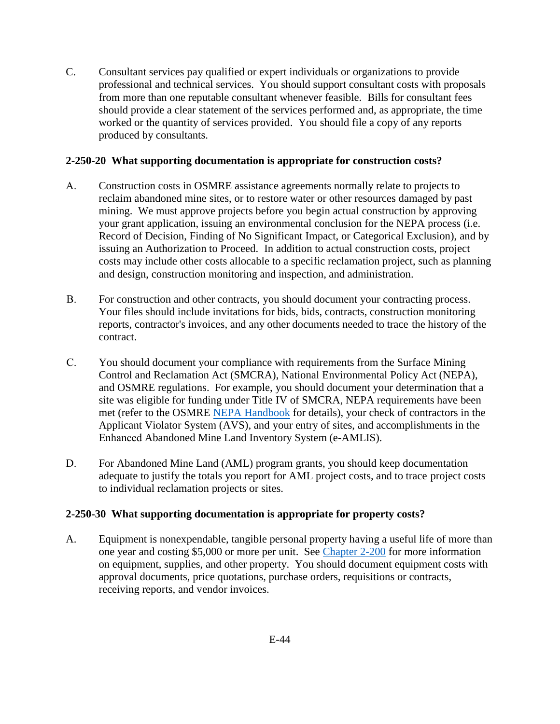C. Consultant services pay qualified or expert individuals or organizations to provide professional and technical services. You should support consultant costs with proposals from more than one reputable consultant whenever feasible. Bills for consultant fees should provide a clear statement of the services performed and, as appropriate, the time worked or the quantity of services provided. You should file a copy of any reports produced by consultants.

#### <span id="page-1-0"></span>**2-250-20 What supporting documentation is appropriate for construction costs?**

- A. Construction costs in OSMRE assistance agreements normally relate to projects to reclaim abandoned mine sites, or to restore water or other resources damaged by past mining. We must approve projects before you begin actual construction by approving your grant application, issuing an environmental conclusion for the NEPA process (i.e. Record of Decision, Finding of No Significant Impact, or Categorical Exclusion), and by issuing an Authorization to Proceed. In addition to actual construction costs, project costs may include other costs allocable to a specific reclamation project, such as planning and design, construction monitoring and inspection, and administration.
- B. For construction and other contracts, you should document your contracting process. Your files should include invitations for bids, bids, contracts, construction monitoring reports, contractor's invoices, and any other documents needed to trace the history of the contract.
- C. You should document your compliance with requirements from the Surface Mining Control and Reclamation Act (SMCRA), National Environmental Policy Act (NEPA), and OSMRE regulations. For example, you should document your determination that a site was eligible for funding under Title IV of SMCRA, NEPA requirements have been met (refer to the OSMRE [NEPA Handbook](https://www.osmre.gov/lrg/nepa.shtm) for details), your check of contractors in the Applicant Violator System (AVS), and your entry of sites, and accomplishments in the Enhanced Abandoned Mine Land Inventory System (e-AMLIS).
- D. For Abandoned Mine Land (AML) program grants, you should keep documentation adequate to justify the totals you report for AML project costs, and to trace project costs to individual reclamation projects or sites.

# <span id="page-1-1"></span>**2-250-30 What supporting documentation is appropriate for property costs?**

A. Equipment is nonexpendable, tangible personal property having a useful life of more than one year and costing \$5,000 or more per unit. See [Chapter 2-200](https://www.osmre.gov/lrg/fam/2-200.pdf) for more information on equipment, supplies, and other property. You should document equipment costs with approval documents, price quotations, purchase orders, requisitions or contracts, receiving reports, and vendor invoices.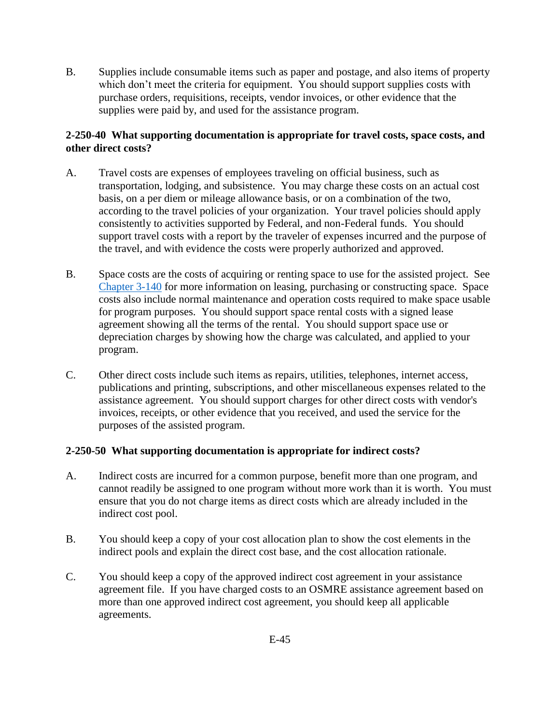B. Supplies include consumable items such as paper and postage, and also items of property which don't meet the criteria for equipment. You should support supplies costs with purchase orders, requisitions, receipts, vendor invoices, or other evidence that the supplies were paid by, and used for the assistance program.

# <span id="page-2-0"></span>**2-250-40 What supporting documentation is appropriate for travel costs, space costs, and other direct costs?**

- A. Travel costs are expenses of employees traveling on official business, such as transportation, lodging, and subsistence. You may charge these costs on an actual cost basis, on a per diem or mileage allowance basis, or on a combination of the two, according to the travel policies of your organization. Your travel policies should apply consistently to activities supported by Federal, and non-Federal funds. You should support travel costs with a report by the traveler of expenses incurred and the purpose of the travel, and with evidence the costs were properly authorized and approved.
- B. Space costs are the costs of acquiring or renting space to use for the assisted project. See [Chapter 3-140](https://www.osmre.gov/lrg/fam/3-140.pdf) for more information on leasing, purchasing or constructing space. Space costs also include normal maintenance and operation costs required to make space usable for program purposes. You should support space rental costs with a signed lease agreement showing all the terms of the rental. You should support space use or depreciation charges by showing how the charge was calculated, and applied to your program.
- C. Other direct costs include such items as repairs, utilities, telephones, internet access, publications and printing, subscriptions, and other miscellaneous expenses related to the assistance agreement. You should support charges for other direct costs with vendor's invoices, receipts, or other evidence that you received, and used the service for the purposes of the assisted program.

# <span id="page-2-1"></span>**2-250-50 What supporting documentation is appropriate for indirect costs?**

- A. Indirect costs are incurred for a common purpose, benefit more than one program, and cannot readily be assigned to one program without more work than it is worth. You must ensure that you do not charge items as direct costs which are already included in the indirect cost pool.
- B. You should keep a copy of your cost allocation plan to show the cost elements in the indirect pools and explain the direct cost base, and the cost allocation rationale.
- C. You should keep a copy of the approved indirect cost agreement in your assistance agreement file. If you have charged costs to an OSMRE assistance agreement based on more than one approved indirect cost agreement, you should keep all applicable agreements.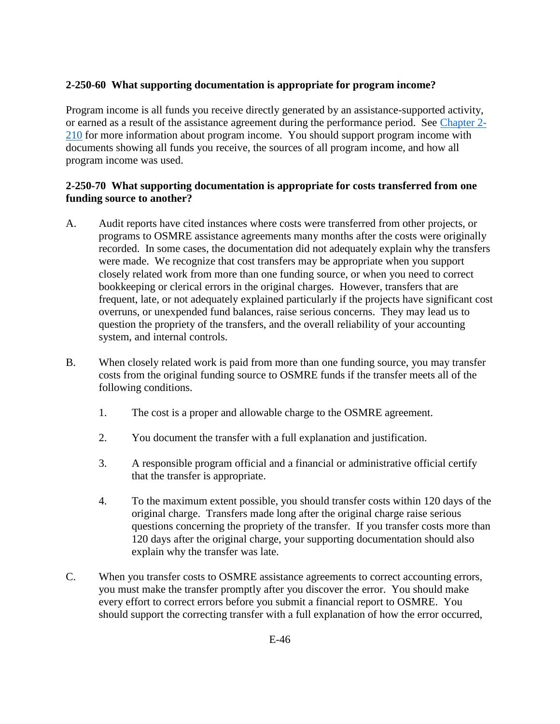# <span id="page-3-0"></span>**2-250-60 What supporting documentation is appropriate for program income?**

Program income is all funds you receive directly generated by an assistance-supported activity, or earned as a result of the assistance agreement during the performance period. See [Chapter 2-](https://www.osmre.gov/lrg/fam/2-210.pdf) [210](https://www.osmre.gov/lrg/fam/2-210.pdf) for more information about program income. You should support program income with documents showing all funds you receive, the sources of all program income, and how all program income was used.

## **2-250-70 What supporting documentation is appropriate for costs transferred from one funding source to another?**

- A. Audit reports have cited instances where costs were transferred from other projects, or programs to OSMRE assistance agreements many months after the costs were originally recorded. In some cases, the documentation did not adequately explain why the transfers were made. We recognize that cost transfers may be appropriate when you support closely related work from more than one funding source, or when you need to correct bookkeeping or clerical errors in the original charges. However, transfers that are frequent, late, or not adequately explained particularly if the projects have significant cost overruns, or unexpended fund balances, raise serious concerns. They may lead us to question the propriety of the transfers, and the overall reliability of your accounting system, and internal controls.
- B. When closely related work is paid from more than one funding source, you may transfer costs from the original funding source to OSMRE funds if the transfer meets all of the following conditions.
	- 1. The cost is a proper and allowable charge to the OSMRE agreement.
	- 2. You document the transfer with a full explanation and justification.
	- 3. A responsible program official and a financial or administrative official certify that the transfer is appropriate.
	- 4. To the maximum extent possible, you should transfer costs within 120 days of the original charge. Transfers made long after the original charge raise serious questions concerning the propriety of the transfer. If you transfer costs more than 120 days after the original charge, your supporting documentation should also explain why the transfer was late.
- C. When you transfer costs to OSMRE assistance agreements to correct accounting errors, you must make the transfer promptly after you discover the error. You should make every effort to correct errors before you submit a financial report to OSMRE. You should support the correcting transfer with a full explanation of how the error occurred,